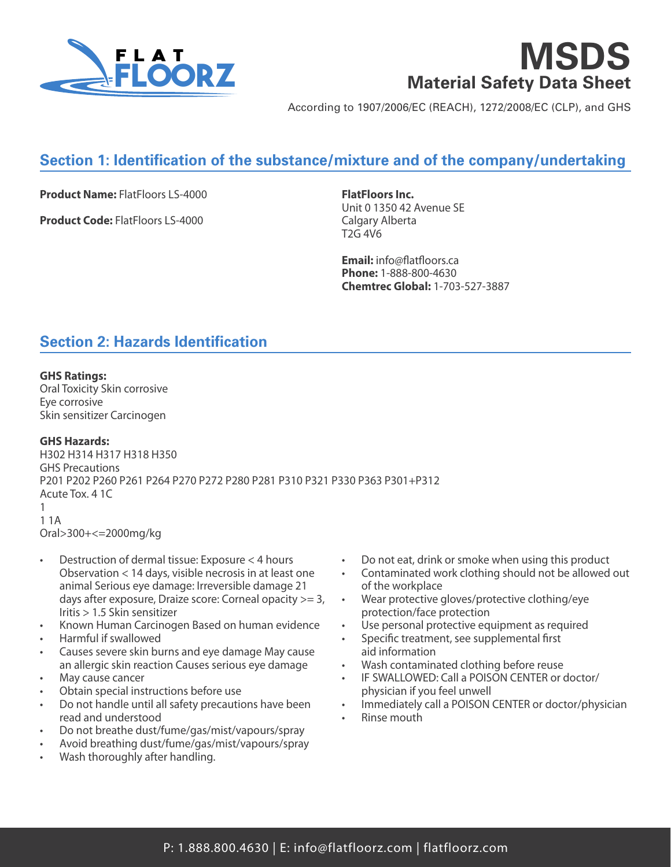

# **MSDS Material Safety Data Sheet**

According to 1907/2006/EC (REACH), 1272/2008/EC (CLP), and GHS

# **Section 1: Identification of the substance/mixture and of the company/undertaking**

**Product Name:** FlatFloors LS-4000

**Product Code:** FlatFloors LS-4000

**FlatFloors Inc.** Unit 0 1350 42 Avenue SE Calgary Alberta T2G 4V6

**Email:** info@flatfloors.ca **Phone:** 1-888-800-4630 **Chemtrec Global:** 1-703-527-3887

# **Section 2: Hazards Identification**

#### **GHS Ratings:**

Oral Toxicity Skin corrosive Eye corrosive Skin sensitizer Carcinogen

### **GHS Hazards:**

H302 H314 H317 H318 H350 GHS Precautions P201 P202 P260 P261 P264 P270 P272 P280 P281 P310 P321 P330 P363 P301+P312 Acute Tox. 4 1C 1 1 1A Oral>300+<=2000mg/kg

- Destruction of dermal tissue: Exposure < 4 hours Observation < 14 days, visible necrosis in at least one animal Serious eye damage: Irreversible damage 21 days after exposure, Draize score: Corneal opacity >= 3, Iritis > 1.5 Skin sensitizer
- Known Human Carcinogen Based on human evidence
- Harmful if swallowed
- Causes severe skin burns and eye damage May cause an allergic skin reaction Causes serious eye damage
- May cause cancer
- Obtain special instructions before use
- Do not handle until all safety precautions have been read and understood
- Do not breathe dust/fume/gas/mist/vapours/spray
- Avoid breathing dust/fume/gas/mist/vapours/spray
- Wash thoroughly after handling.
- Do not eat, drink or smoke when using this product
- Contaminated work clothing should not be allowed out of the workplace
- Wear protective gloves/protective clothing/eye protection/face protection
- Use personal protective equipment as required
- Specific treatment, see supplemental first aid information
- Wash contaminated clothing before reuse
- IF SWALLOWED: Call a POISON CENTER or doctor/ physician if you feel unwell
- Immediately call a POISON CENTER or doctor/physician
- Rinse mouth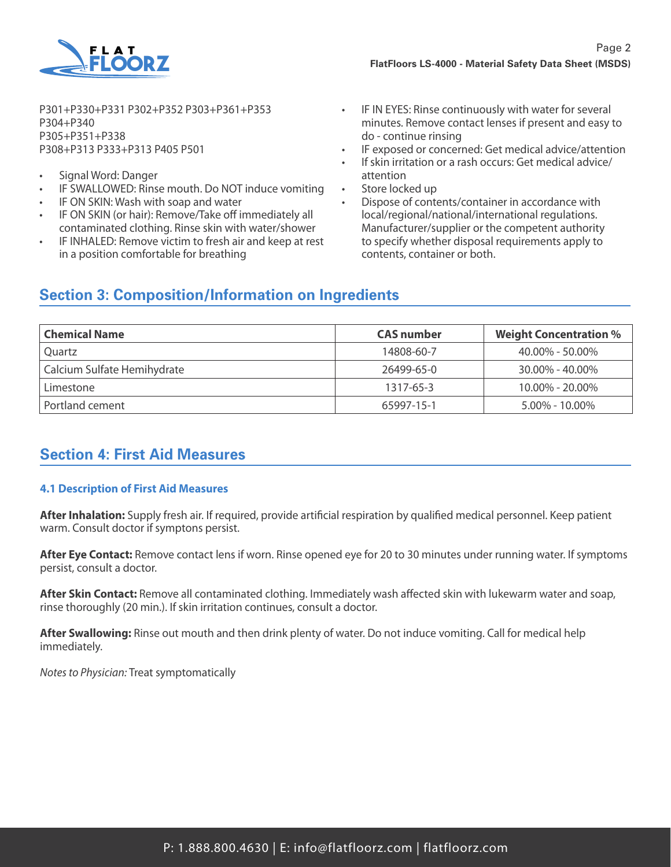

P301+P330+P331 P302+P352 P303+P361+P353 P304+P340 P305+P351+P338 P308+P313 P333+P313 P405 P501

- Signal Word: Danger
- IF SWALLOWED: Rinse mouth. Do NOT induce vomiting
- IF ON SKIN: Wash with soap and water
- IF ON SKIN (or hair): Remove/Take off immediately all contaminated clothing. Rinse skin with water/shower
- IF INHALED: Remove victim to fresh air and keep at rest in a position comfortable for breathing
- IF IN EYES: Rinse continuously with water for several minutes. Remove contact lenses if present and easy to do - continue rinsing
- IF exposed or concerned: Get medical advice/attention
- If skin irritation or a rash occurs: Get medical advice/ attention
- Store locked up
- Dispose of contents/container in accordance with local/regional/national/international regulations. Manufacturer/supplier or the competent authority to specify whether disposal requirements apply to contents, container or both.

### **Section 3: Composition/Information on Ingredients**

| <b>Chemical Name</b>        | <b>CAS</b> number | <b>Weight Concentration %</b> |
|-----------------------------|-------------------|-------------------------------|
| Ouartz                      | 14808-60-7        | $40.00\% - 50.00\%$           |
| Calcium Sulfate Hemihydrate | 26499-65-0        | $30.00\% - 40.00\%$           |
| Limestone                   | 1317-65-3         | $10.00\% - 20.00\%$           |
| Portland cement             | 65997-15-1        | $5.00\% - 10.00\%$            |

# **Section 4: First Aid Measures**

### **4.1 Description of First Aid Measures**

**After Inhalation:** Supply fresh air. If required, provide artificial respiration by qualified medical personnel. Keep patient warm. Consult doctor if symptons persist.

**After Eye Contact:** Remove contact lens if worn. Rinse opened eye for 20 to 30 minutes under running water. If symptoms persist, consult a doctor.

**After Skin Contact:** Remove all contaminated clothing. Immediately wash affected skin with lukewarm water and soap, rinse thoroughly (20 min.). If skin irritation continues, consult a doctor.

**After Swallowing:** Rinse out mouth and then drink plenty of water. Do not induce vomiting. Call for medical help immediately.

*Notes to Physician:* Treat symptomatically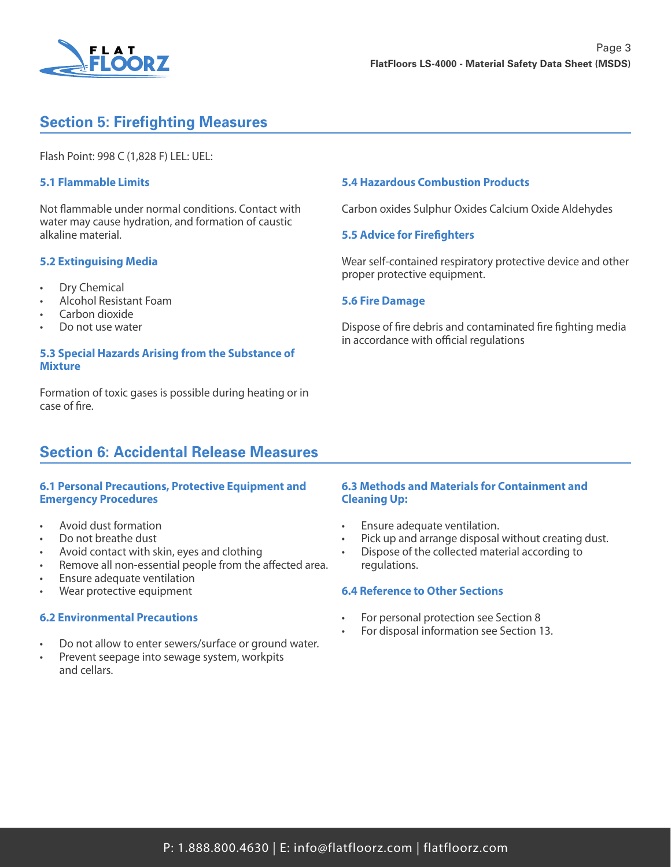

# **Section 5: Firefighting Measures**

Flash Point: 998 C (1,828 F) LEL: UEL:

### **5.1 Flammable Limits**

Not flammable under normal conditions. Contact with water may cause hydration, and formation of caustic alkaline material.

### **5.2 Extinguising Media**

- Dry Chemical
- Alcohol Resistant Foam
- Carbon dioxide
- Do not use water

#### **5.3 Special Hazards Arising from the Substance of Mixture**

Formation of toxic gases is possible during heating or in case of fire.

### **Section 6: Accidental Release Measures**

#### **6.1 Personal Precautions, Protective Equipment and Emergency Procedures**

- Avoid dust formation
- Do not breathe dust
- Avoid contact with skin, eyes and clothing
- Remove all non-essential people from the affected area.
- Ensure adequate ventilation
- Wear protective equipment

#### **6.2 Environmental Precautions**

- Do not allow to enter sewers/surface or ground water.
- Prevent seepage into sewage system, workpits and cellars.

#### **5.4 Hazardous Combustion Products**

Carbon oxides Sulphur Oxides Calcium Oxide Aldehydes

#### **5.5 Advice for Firefighters**

Wear self-contained respiratory protective device and other proper protective equipment.

#### **5.6 Fire Damage**

Dispose of fire debris and contaminated fire fighting media in accordance with official regulations

#### **6.3 Methods and Materials for Containment and Cleaning Up:**

- Ensure adequate ventilation.
- Pick up and arrange disposal without creating dust.
- Dispose of the collected material according to regulations.

#### **6.4 Reference to Other Sections**

- For personal protection see Section 8
- For disposal information see Section 13.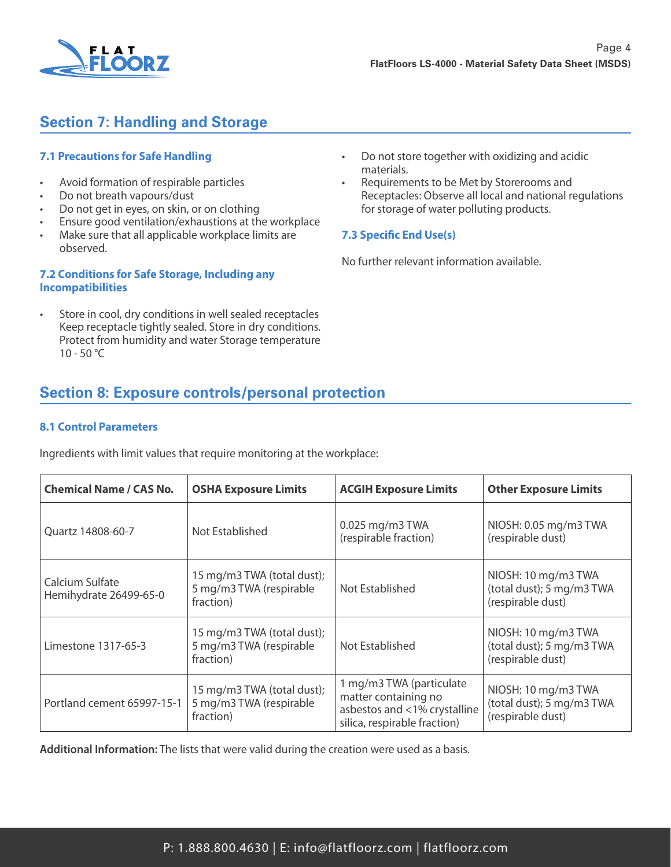

# **Section 7: Handling and Storage**

### **7.1 Precautions for Safe Handling**

- Avoid formation of respirable particles
- Do not breath vapours/dust
- Do not get in eyes, on skin, or on clothing
- Ensure good ventilation/exhaustions at the workplace
- Make sure that all applicable workplace limits are observed.

### **7.2 Conditions for Safe Storage, Including any Incompatibilities**

Store in cool, dry conditions in well sealed receptacles Keep receptacle tightly sealed. Store in dry conditions. Protect from humidity and water Storage temperature  $10 - 50 °C$ 

- Do not store together with oxidizing and acidic materials.
- Requirements to be Met by Storerooms and Receptacles: Observe all local and national regulations for storage of water polluting products.

### **7.3 Specific End Use(s)**

No further relevant information available.

# **Section 8: Exposure controls/personal protection**

### **8.1 Control Parameters**

Ingredients with limit values that require monitoring at the workplace:

| <b>Chemical Name / CAS No.</b>            | <b>OSHA Exposure Limits</b>                                        | <b>ACGIH Exposure Limits</b>                                                                                     | <b>Other Exposure Limits</b>                                          |
|-------------------------------------------|--------------------------------------------------------------------|------------------------------------------------------------------------------------------------------------------|-----------------------------------------------------------------------|
| Ouartz 14808-60-7                         | Not Established                                                    | 0.025 mg/m3 TWA<br>(respirable fraction)                                                                         | NIOSH: 0.05 mg/m3 TWA<br>(respirable dust)                            |
| Calcium Sulfate<br>Hemihydrate 26499-65-0 | 15 mg/m3 TWA (total dust);<br>5 mg/m3 TWA (respirable<br>fraction) | Not Established                                                                                                  | NIOSH: 10 mg/m3 TWA<br>(total dust); 5 mg/m3 TWA<br>(respirable dust) |
| Limestone 1317-65-3                       | 15 mg/m3 TWA (total dust);<br>5 mg/m3 TWA (respirable<br>fraction) | Not Established                                                                                                  | NIOSH: 10 mg/m3 TWA<br>(total dust); 5 mg/m3 TWA<br>(respirable dust) |
| Portland cement 65997-15-1                | 15 mg/m3 TWA (total dust);<br>5 mg/m3 TWA (respirable<br>fraction) | 1 mg/m3 TWA (particulate<br>matter containing no<br>asbestos and <1% crystalline<br>silica, respirable fraction) | NIOSH: 10 mg/m3 TWA<br>(total dust); 5 mg/m3 TWA<br>(respirable dust) |

**Additional Information:** The lists that were valid during the creation were used as a basis.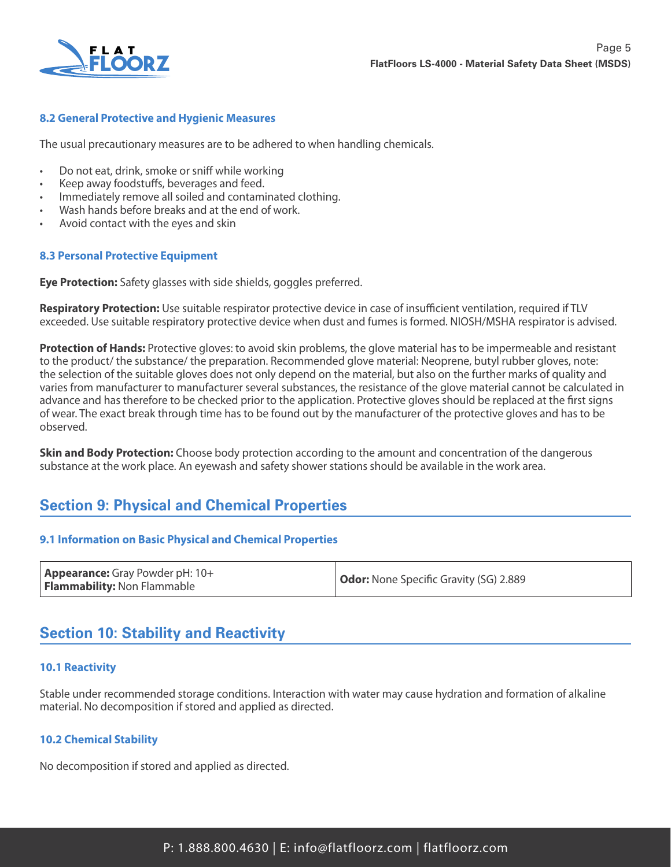

### **8.2 General Protective and Hygienic Measures**

The usual precautionary measures are to be adhered to when handling chemicals.

- Do not eat, drink, smoke or sniff while working
- Keep away foodstuffs, beverages and feed.
- Immediately remove all soiled and contaminated clothing.
- Wash hands before breaks and at the end of work.
- Avoid contact with the eyes and skin

### **8.3 Personal Protective Equipment**

**Eye Protection:** Safety glasses with side shields, goggles preferred.

**Respiratory Protection:** Use suitable respirator protective device in case of insufficient ventilation, required if TLV exceeded. Use suitable respiratory protective device when dust and fumes is formed. NIOSH/MSHA respirator is advised.

**Protection of Hands:** Protective gloves: to avoid skin problems, the glove material has to be impermeable and resistant to the product/ the substance/ the preparation. Recommended glove material: Neoprene, butyl rubber gloves, note: the selection of the suitable gloves does not only depend on the material, but also on the further marks of quality and varies from manufacturer to manufacturer several substances, the resistance of the glove material cannot be calculated in advance and has therefore to be checked prior to the application. Protective gloves should be replaced at the first signs of wear. The exact break through time has to be found out by the manufacturer of the protective gloves and has to be observed.

**Skin and Body Protection:** Choose body protection according to the amount and concentration of the dangerous substance at the work place. An eyewash and safety shower stations should be available in the work area.

# **Section 9: Physical and Chemical Properties**

### **9.1 Information on Basic Physical and Chemical Properties**

# **Section 10: Stability and Reactivity**

### **10.1 Reactivity**

Stable under recommended storage conditions. Interaction with water may cause hydration and formation of alkaline material. No decomposition if stored and applied as directed.

### **10.2 Chemical Stability**

No decomposition if stored and applied as directed.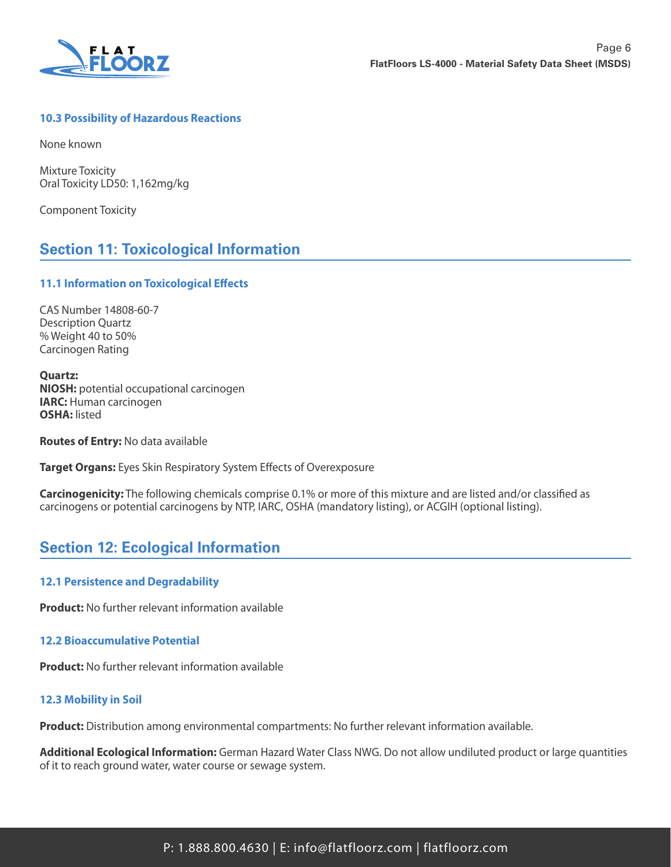

### **10.3 Possibility of Hazardous Reactions**

None known

Mixture Toxicity Oral Toxicity LD50: 1,162mg/kg

Component Toxicity

# **Section 11: Toxicological Information**

### **11.1 Information on Toxicological Effects**

CAS Number 14808-60-7 Description Quartz % Weight 40 to 50% Carcinogen Rating

**Quartz: NIOSH:** potential occupational carcinogen **IARC:** Human carcinogen **OSHA:** listed

**Routes of Entry:** No data available

**Target Organs:** Eyes Skin Respiratory System Effects of Overexposure

**Carcinogenicity:** The following chemicals comprise 0.1% or more of this mixture and are listed and/or classified as carcinogens or potential carcinogens by NTP, IARC, OSHA (mandatory listing), or ACGIH (optional listing).

### **Section 12: Ecological Information**

### **12.1 Persistence and Degradability**

**Product:** No further relevant information available

### **12.2 Bioaccumulative Potential**

**Product:** No further relevant information available

### **12.3 Mobility in Soil**

**Product:** Distribution among environmental compartments: No further relevant information available.

**Additional Ecological Information:** German Hazard Water Class NWG. Do not allow undiluted product or large quantities of it to reach ground water, water course or sewage system.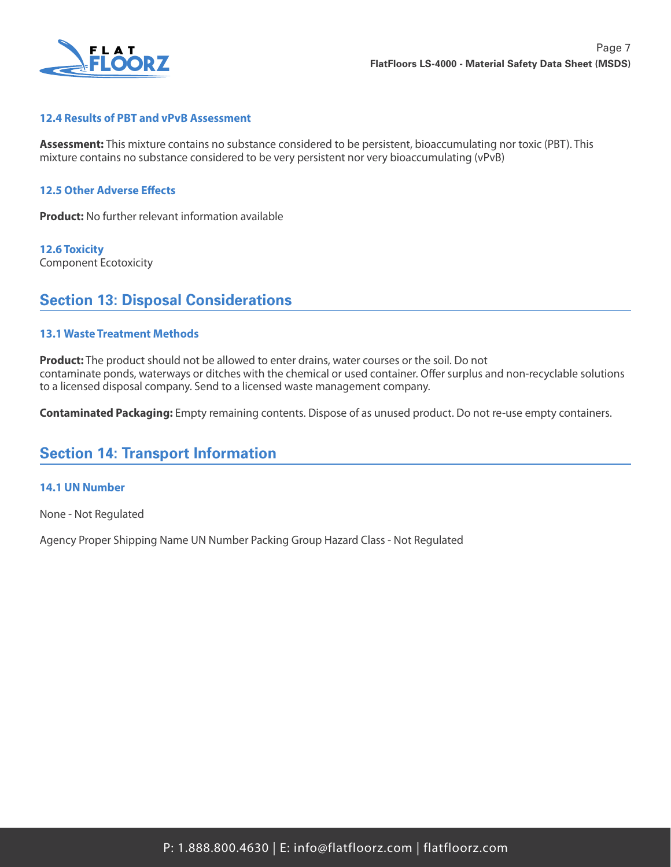

### **12.4 Results of PBT and vPvB Assessment**

**Assessment:** This mixture contains no substance considered to be persistent, bioaccumulating nor toxic (PBT). This mixture contains no substance considered to be very persistent nor very bioaccumulating (vPvB)

#### **12.5 Other Adverse Effects**

**Product:** No further relevant information available

**12.6 Toxicity** Component Ecotoxicity

### **Section 13: Disposal Considerations**

#### **13.1 Waste Treatment Methods**

**Product:** The product should not be allowed to enter drains, water courses or the soil. Do not contaminate ponds, waterways or ditches with the chemical or used container. Offer surplus and non-recyclable solutions to a licensed disposal company. Send to a licensed waste management company.

**Contaminated Packaging:** Empty remaining contents. Dispose of as unused product. Do not re-use empty containers.

### **Section 14: Transport Information**

#### **14.1 UN Number**

None - Not Regulated

Agency Proper Shipping Name UN Number Packing Group Hazard Class - Not Regulated